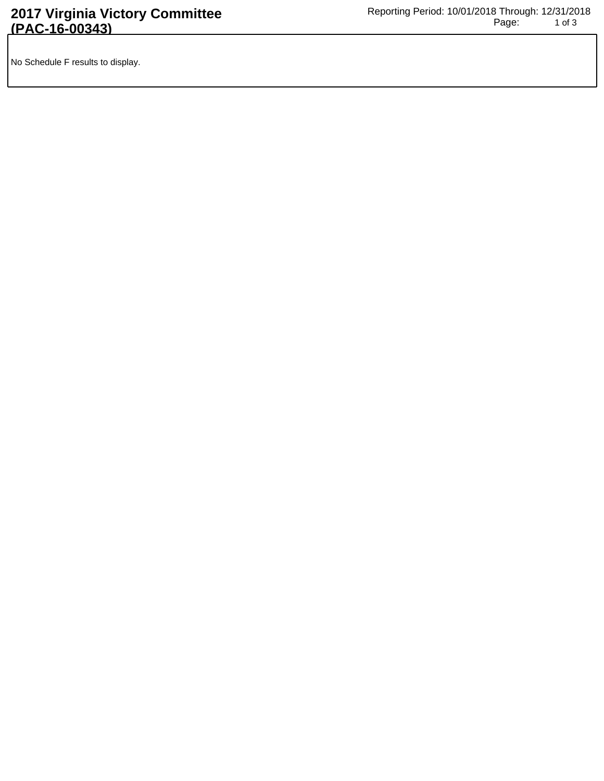No Schedule F results to display.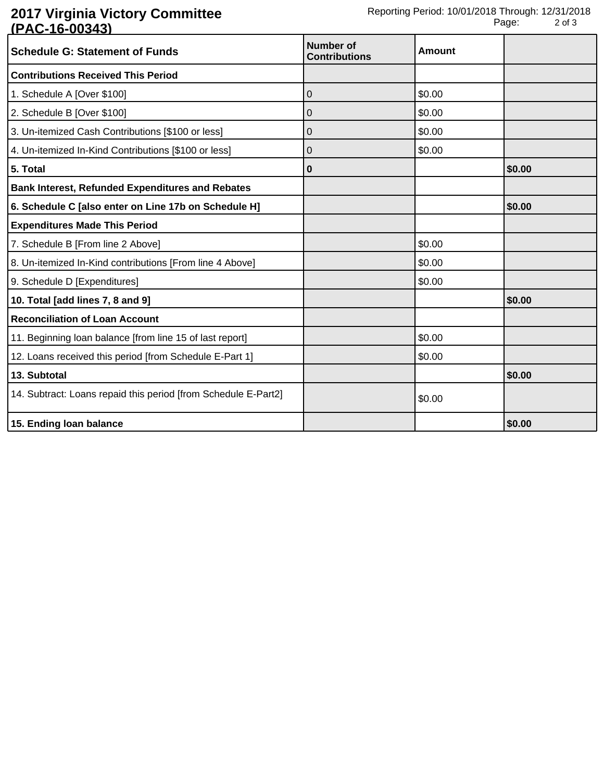## **2017 Virginia Victory Committee (PAC-16-00343)**

| <u>N AV IV VUTV</u><br><b>Schedule G: Statement of Funds</b>   | Number of<br><b>Contributions</b> | <b>Amount</b> |        |
|----------------------------------------------------------------|-----------------------------------|---------------|--------|
| <b>Contributions Received This Period</b>                      |                                   |               |        |
| 1. Schedule A [Over \$100]                                     | 0                                 | \$0.00        |        |
| 2. Schedule B [Over \$100]                                     | 0                                 | \$0.00        |        |
| 3. Un-itemized Cash Contributions [\$100 or less]              | 0                                 | \$0.00        |        |
| 4. Un-itemized In-Kind Contributions [\$100 or less]           | 0                                 | \$0.00        |        |
| 5. Total                                                       | 0                                 |               | \$0.00 |
| <b>Bank Interest, Refunded Expenditures and Rebates</b>        |                                   |               |        |
| 6. Schedule C [also enter on Line 17b on Schedule H]           |                                   |               | \$0.00 |
| <b>Expenditures Made This Period</b>                           |                                   |               |        |
| 7. Schedule B [From line 2 Above]                              |                                   | \$0.00        |        |
| 8. Un-itemized In-Kind contributions [From line 4 Above]       |                                   | \$0.00        |        |
| 9. Schedule D [Expenditures]                                   |                                   | \$0.00        |        |
| 10. Total [add lines 7, 8 and 9]                               |                                   |               | \$0.00 |
| <b>Reconciliation of Loan Account</b>                          |                                   |               |        |
| 11. Beginning loan balance [from line 15 of last report]       |                                   | \$0.00        |        |
| 12. Loans received this period [from Schedule E-Part 1]        |                                   | \$0.00        |        |
| 13. Subtotal                                                   |                                   |               | \$0.00 |
| 14. Subtract: Loans repaid this period [from Schedule E-Part2] |                                   | \$0.00        |        |
| 15. Ending loan balance                                        |                                   |               | \$0.00 |